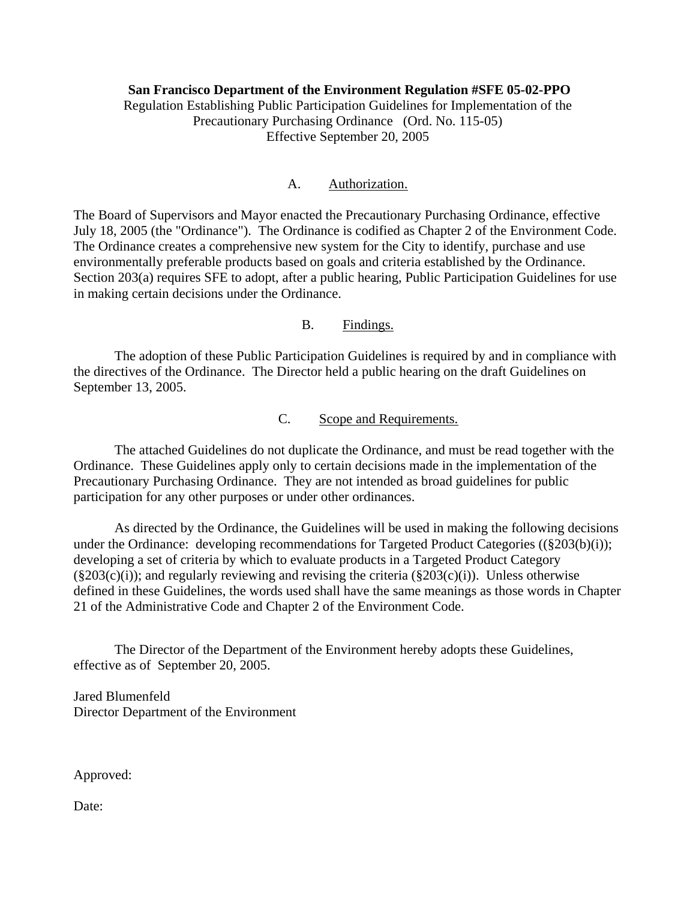**San Francisco Department of the Environment Regulation #SFE 05-02-PPO**  Regulation Establishing Public Participation Guidelines for Implementation of the Precautionary Purchasing Ordinance (Ord. No. 115-05) Effective September 20, 2005

#### A. Authorization.

The Board of Supervisors and Mayor enacted the Precautionary Purchasing Ordinance, effective July 18, 2005 (the "Ordinance"). The Ordinance is codified as Chapter 2 of the Environment Code. The Ordinance creates a comprehensive new system for the City to identify, purchase and use environmentally preferable products based on goals and criteria established by the Ordinance. Section 203(a) requires SFE to adopt, after a public hearing, Public Participation Guidelines for use in making certain decisions under the Ordinance.

## B. Findings.

 The adoption of these Public Participation Guidelines is required by and in compliance with the directives of the Ordinance. The Director held a public hearing on the draft Guidelines on September 13, 2005.

## C. Scope and Requirements.

 The attached Guidelines do not duplicate the Ordinance, and must be read together with the Ordinance. These Guidelines apply only to certain decisions made in the implementation of the Precautionary Purchasing Ordinance. They are not intended as broad guidelines for public participation for any other purposes or under other ordinances.

 As directed by the Ordinance, the Guidelines will be used in making the following decisions under the Ordinance: developing recommendations for Targeted Product Categories ((§203(b)(i)); developing a set of criteria by which to evaluate products in a Targeted Product Category  $(\S 203(c)(i))$ ; and regularly reviewing and revising the criteria  $(\S 203(c)(i))$ . Unless otherwise defined in these Guidelines, the words used shall have the same meanings as those words in Chapter 21 of the Administrative Code and Chapter 2 of the Environment Code.

 The Director of the Department of the Environment hereby adopts these Guidelines, effective as of September 20, 2005.

Jared Blumenfeld Director Department of the Environment

Approved:

Date: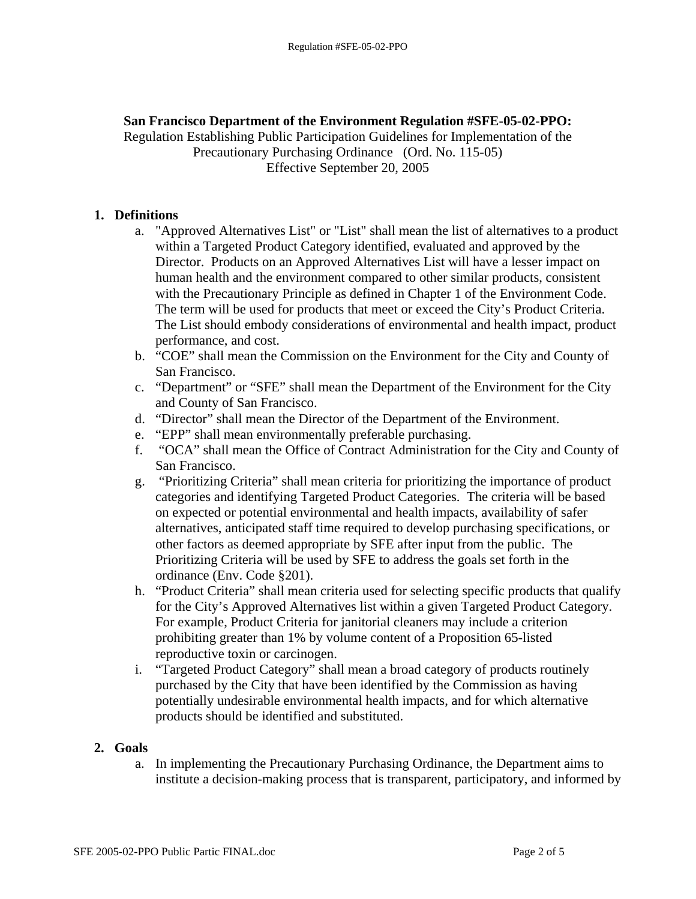## **San Francisco Department of the Environment Regulation #SFE-05-02-PPO:**

Regulation Establishing Public Participation Guidelines for Implementation of the Precautionary Purchasing Ordinance (Ord. No. 115-05) Effective September 20, 2005

## **1. Definitions**

- a. "Approved Alternatives List" or "List" shall mean the list of alternatives to a product within a Targeted Product Category identified, evaluated and approved by the Director. Products on an Approved Alternatives List will have a lesser impact on human health and the environment compared to other similar products, consistent with the Precautionary Principle as defined in Chapter 1 of the Environment Code. The term will be used for products that meet or exceed the City's Product Criteria. The List should embody considerations of environmental and health impact, product performance, and cost.
- b. "COE" shall mean the Commission on the Environment for the City and County of San Francisco.
- c. "Department" or "SFE" shall mean the Department of the Environment for the City and County of San Francisco.
- d. "Director" shall mean the Director of the Department of the Environment.
- e. "EPP" shall mean environmentally preferable purchasing.
- f. "OCA" shall mean the Office of Contract Administration for the City and County of San Francisco.
- g. "Prioritizing Criteria" shall mean criteria for prioritizing the importance of product categories and identifying Targeted Product Categories. The criteria will be based on expected or potential environmental and health impacts, availability of safer alternatives, anticipated staff time required to develop purchasing specifications, or other factors as deemed appropriate by SFE after input from the public. The Prioritizing Criteria will be used by SFE to address the goals set forth in the ordinance (Env. Code §201).
- h. "Product Criteria" shall mean criteria used for selecting specific products that qualify for the City's Approved Alternatives list within a given Targeted Product Category. For example, Product Criteria for janitorial cleaners may include a criterion prohibiting greater than 1% by volume content of a Proposition 65-listed reproductive toxin or carcinogen.
- i. "Targeted Product Category" shall mean a broad category of products routinely purchased by the City that have been identified by the Commission as having potentially undesirable environmental health impacts, and for which alternative products should be identified and substituted.

### **2. Goals**

a. In implementing the Precautionary Purchasing Ordinance, the Department aims to institute a decision-making process that is transparent, participatory, and informed by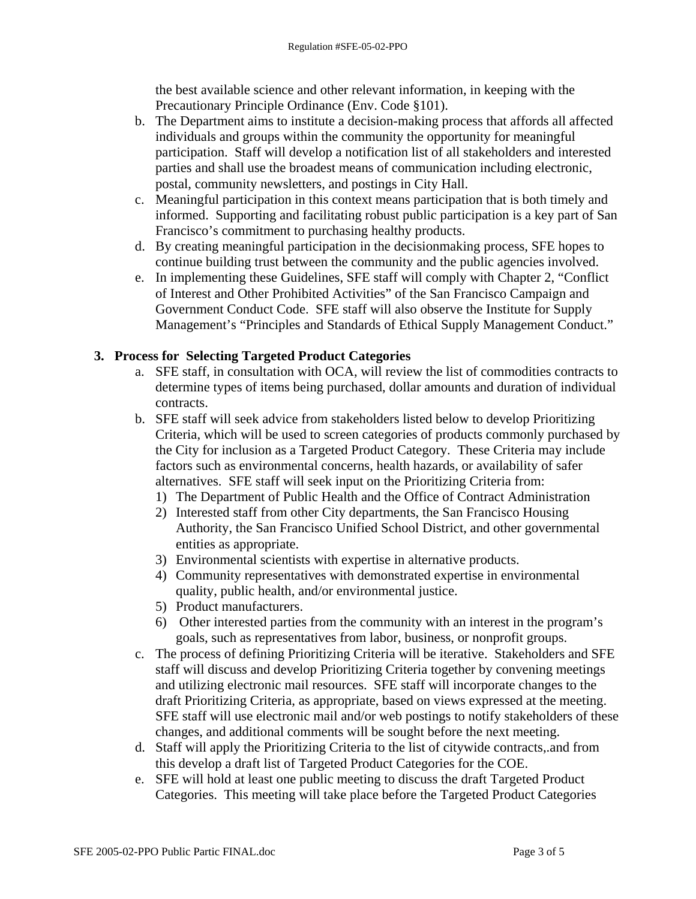the best available science and other relevant information, in keeping with the Precautionary Principle Ordinance (Env. Code §101).

- b. The Department aims to institute a decision-making process that affords all affected individuals and groups within the community the opportunity for meaningful participation. Staff will develop a notification list of all stakeholders and interested parties and shall use the broadest means of communication including electronic, postal, community newsletters, and postings in City Hall.
- c. Meaningful participation in this context means participation that is both timely and informed. Supporting and facilitating robust public participation is a key part of San Francisco's commitment to purchasing healthy products.
- d. By creating meaningful participation in the decisionmaking process, SFE hopes to continue building trust between the community and the public agencies involved.
- e. In implementing these Guidelines, SFE staff will comply with Chapter 2, "Conflict of Interest and Other Prohibited Activities" of the San Francisco Campaign and Government Conduct Code. SFE staff will also observe the Institute for Supply Management's "Principles and Standards of Ethical Supply Management Conduct."

# **3. Process for Selecting Targeted Product Categories**

- a. SFE staff, in consultation with OCA, will review the list of commodities contracts to determine types of items being purchased, dollar amounts and duration of individual contracts.
- b. SFE staff will seek advice from stakeholders listed below to develop Prioritizing Criteria, which will be used to screen categories of products commonly purchased by the City for inclusion as a Targeted Product Category. These Criteria may include factors such as environmental concerns, health hazards, or availability of safer alternatives. SFE staff will seek input on the Prioritizing Criteria from:
	- 1) The Department of Public Health and the Office of Contract Administration
	- 2) Interested staff from other City departments, the San Francisco Housing Authority, the San Francisco Unified School District, and other governmental entities as appropriate.
	- 3) Environmental scientists with expertise in alternative products.
	- 4) Community representatives with demonstrated expertise in environmental quality, public health, and/or environmental justice.
	- 5) Product manufacturers.
	- 6) Other interested parties from the community with an interest in the program's goals, such as representatives from labor, business, or nonprofit groups.
- c. The process of defining Prioritizing Criteria will be iterative. Stakeholders and SFE staff will discuss and develop Prioritizing Criteria together by convening meetings and utilizing electronic mail resources. SFE staff will incorporate changes to the draft Prioritizing Criteria, as appropriate, based on views expressed at the meeting. SFE staff will use electronic mail and/or web postings to notify stakeholders of these changes, and additional comments will be sought before the next meeting.
- d. Staff will apply the Prioritizing Criteria to the list of citywide contracts,.and from this develop a draft list of Targeted Product Categories for the COE.
- e. SFE will hold at least one public meeting to discuss the draft Targeted Product Categories. This meeting will take place before the Targeted Product Categories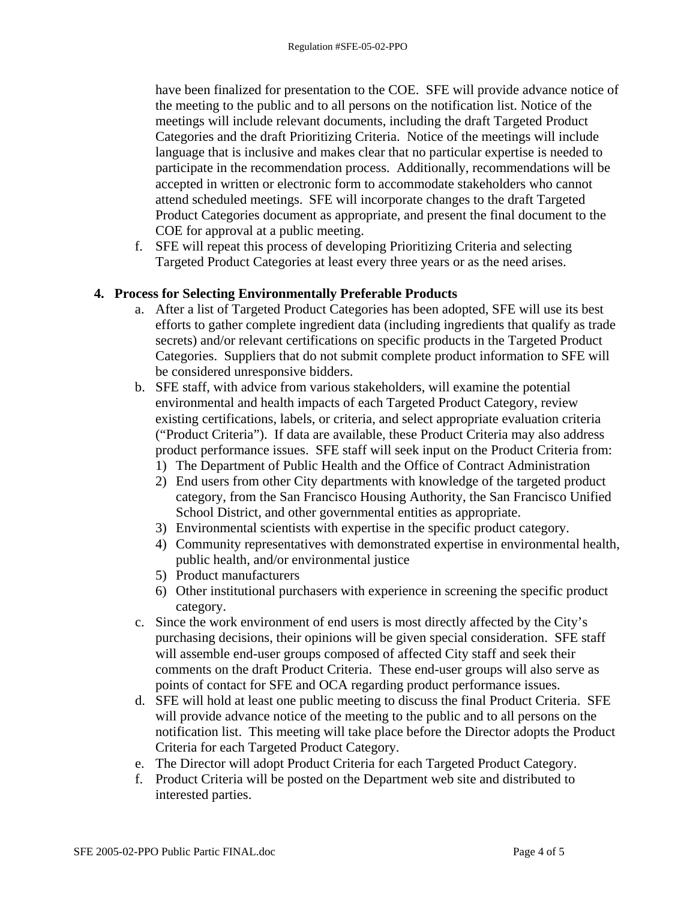have been finalized for presentation to the COE. SFE will provide advance notice of the meeting to the public and to all persons on the notification list. Notice of the meetings will include relevant documents, including the draft Targeted Product Categories and the draft Prioritizing Criteria. Notice of the meetings will include language that is inclusive and makes clear that no particular expertise is needed to participate in the recommendation process. Additionally, recommendations will be accepted in written or electronic form to accommodate stakeholders who cannot attend scheduled meetings. SFE will incorporate changes to the draft Targeted Product Categories document as appropriate, and present the final document to the COE for approval at a public meeting.

f. SFE will repeat this process of developing Prioritizing Criteria and selecting Targeted Product Categories at least every three years or as the need arises.

# **4. Process for Selecting Environmentally Preferable Products**

- a. After a list of Targeted Product Categories has been adopted, SFE will use its best efforts to gather complete ingredient data (including ingredients that qualify as trade secrets) and/or relevant certifications on specific products in the Targeted Product Categories. Suppliers that do not submit complete product information to SFE will be considered unresponsive bidders.
- b. SFE staff, with advice from various stakeholders, will examine the potential environmental and health impacts of each Targeted Product Category, review existing certifications, labels, or criteria, and select appropriate evaluation criteria ("Product Criteria"). If data are available, these Product Criteria may also address product performance issues. SFE staff will seek input on the Product Criteria from:
	- 1) The Department of Public Health and the Office of Contract Administration
	- 2) End users from other City departments with knowledge of the targeted product category, from the San Francisco Housing Authority, the San Francisco Unified School District, and other governmental entities as appropriate.
	- 3) Environmental scientists with expertise in the specific product category.
	- 4) Community representatives with demonstrated expertise in environmental health, public health, and/or environmental justice
	- 5) Product manufacturers
	- 6) Other institutional purchasers with experience in screening the specific product category.
- c. Since the work environment of end users is most directly affected by the City's purchasing decisions, their opinions will be given special consideration. SFE staff will assemble end-user groups composed of affected City staff and seek their comments on the draft Product Criteria. These end-user groups will also serve as points of contact for SFE and OCA regarding product performance issues.
- d. SFE will hold at least one public meeting to discuss the final Product Criteria. SFE will provide advance notice of the meeting to the public and to all persons on the notification list. This meeting will take place before the Director adopts the Product Criteria for each Targeted Product Category.
- e. The Director will adopt Product Criteria for each Targeted Product Category.
- f. Product Criteria will be posted on the Department web site and distributed to interested parties.